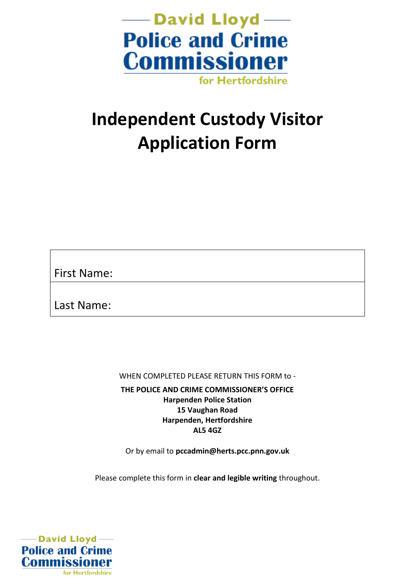

# **Independent Custody Visitor Application Form**

First Name:

Last Name:

WHEN COMPLETED PLEASE RETURN THIS FORM to -

**THE POLICE AND CRIME COMMISSIONER'S OFFICE Harpenden Police Station 15 Vaughan Road Harpenden, Hertfordshire AL5 4GZ**

Or by email to **pccadmin@herts.pcc.pnn.gov.uk**

Please complete this form in **clear and legible writing** throughout.

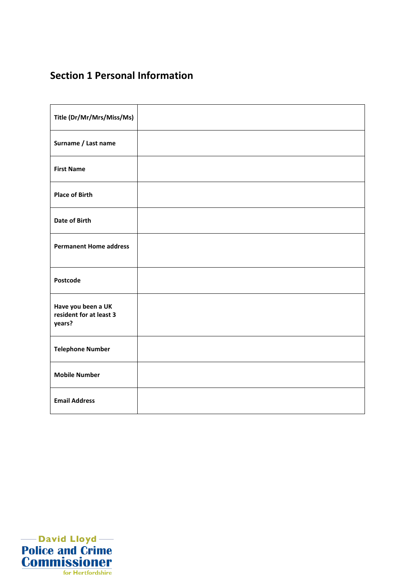## **Section 1 Personal Information**

| Title (Dr/Mr/Mrs/Miss/Ms)                               |  |
|---------------------------------------------------------|--|
| Surname / Last name                                     |  |
| <b>First Name</b>                                       |  |
| <b>Place of Birth</b>                                   |  |
| <b>Date of Birth</b>                                    |  |
| <b>Permanent Home address</b>                           |  |
| Postcode                                                |  |
| Have you been a UK<br>resident for at least 3<br>years? |  |
| <b>Telephone Number</b>                                 |  |
| <b>Mobile Number</b>                                    |  |
| <b>Email Address</b>                                    |  |

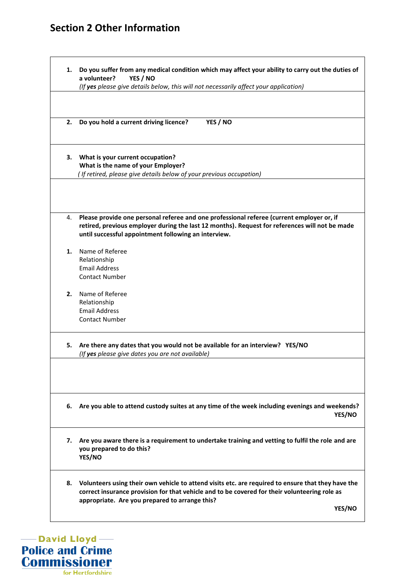### **Section 2 Other Information**

|    | a volunteer?<br>YES / NO<br>(If yes please give details below, this will not necessarily affect your application)                                                                                                                                     |
|----|-------------------------------------------------------------------------------------------------------------------------------------------------------------------------------------------------------------------------------------------------------|
|    |                                                                                                                                                                                                                                                       |
| 2. | YES / NO<br>Do you hold a current driving licence?                                                                                                                                                                                                    |
|    | 3. What is your current occupation?                                                                                                                                                                                                                   |
|    | What is the name of your Employer?                                                                                                                                                                                                                    |
|    | (If retired, please give details below of your previous occupation)                                                                                                                                                                                   |
| 4. | Please provide one personal referee and one professional referee (current employer or, if                                                                                                                                                             |
|    | retired, previous employer during the last 12 months). Request for references will not be made<br>until successful appointment following an interview.                                                                                                |
| 1. | Name of Referee                                                                                                                                                                                                                                       |
|    | Relationship                                                                                                                                                                                                                                          |
|    | <b>Email Address</b>                                                                                                                                                                                                                                  |
|    | <b>Contact Number</b>                                                                                                                                                                                                                                 |
| 2. | Name of Referee                                                                                                                                                                                                                                       |
|    | Relationship                                                                                                                                                                                                                                          |
|    | <b>Email Address</b>                                                                                                                                                                                                                                  |
|    | <b>Contact Number</b>                                                                                                                                                                                                                                 |
| 5. | Are there any dates that you would not be available for an interview? YES/NO<br>(If yes please give dates you are not available)                                                                                                                      |
|    |                                                                                                                                                                                                                                                       |
|    | 6. Are you able to attend custody suites at any time of the week including evenings and weekends?<br>YES/NO                                                                                                                                           |
| 7. | Are you aware there is a requirement to undertake training and vetting to fulfil the role and are<br>you prepared to do this?<br>YES/NO                                                                                                               |
| 8. | Volunteers using their own vehicle to attend visits etc. are required to ensure that they have the<br>correct insurance provision for that vehicle and to be covered for their volunteering role as<br>appropriate. Are you prepared to arrange this? |

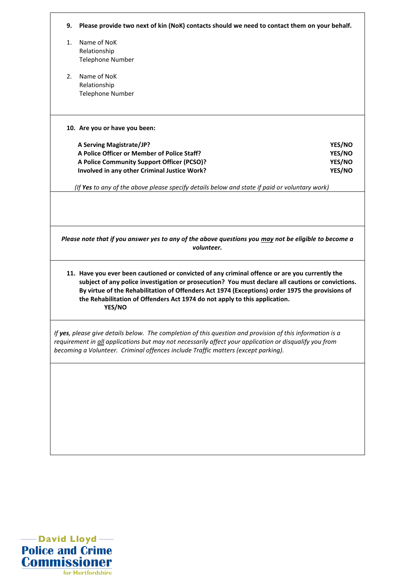| 9. | Please provide two next of kin (NoK) contacts should we need to contact them on your behalf.                                                                                                                                                                                                                                                                                                   |
|----|------------------------------------------------------------------------------------------------------------------------------------------------------------------------------------------------------------------------------------------------------------------------------------------------------------------------------------------------------------------------------------------------|
| 1. | Name of NoK                                                                                                                                                                                                                                                                                                                                                                                    |
|    | Relationship                                                                                                                                                                                                                                                                                                                                                                                   |
|    | <b>Telephone Number</b>                                                                                                                                                                                                                                                                                                                                                                        |
| 2. | Name of NoK                                                                                                                                                                                                                                                                                                                                                                                    |
|    | Relationship                                                                                                                                                                                                                                                                                                                                                                                   |
|    | <b>Telephone Number</b>                                                                                                                                                                                                                                                                                                                                                                        |
|    | 10. Are you or have you been:                                                                                                                                                                                                                                                                                                                                                                  |
|    | A Serving Magistrate/JP?<br>YES/NO                                                                                                                                                                                                                                                                                                                                                             |
|    | A Police Officer or Member of Police Staff?<br>YES/NO                                                                                                                                                                                                                                                                                                                                          |
|    | A Police Community Support Officer (PCSO)?<br>YES/NO                                                                                                                                                                                                                                                                                                                                           |
|    | Involved in any other Criminal Justice Work?<br>YES/NO                                                                                                                                                                                                                                                                                                                                         |
|    |                                                                                                                                                                                                                                                                                                                                                                                                |
|    | (If Yes to any of the above please specify details below and state if paid or voluntary work)                                                                                                                                                                                                                                                                                                  |
|    | Please note that if you answer yes to any of the above questions you may not be eligible to become a<br>volunteer.                                                                                                                                                                                                                                                                             |
|    | 11. Have you ever been cautioned or convicted of any criminal offence or are you currently the<br>subject of any police investigation or prosecution? You must declare all cautions or convictions.<br>By virtue of the Rehabilitation of Offenders Act 1974 (Exceptions) order 1975 the provisions of<br>the Rehabilitation of Offenders Act 1974 do not apply to this application.<br>YES/NO |
|    | If yes, please give details below. The completion of this question and provision of this information is a<br>requirement in all applications but may not necessarily affect your application or disqualify you from<br>becoming a Volunteer. Criminal offences include Traffic matters (except parking).                                                                                       |
|    |                                                                                                                                                                                                                                                                                                                                                                                                |
|    |                                                                                                                                                                                                                                                                                                                                                                                                |
|    |                                                                                                                                                                                                                                                                                                                                                                                                |
|    |                                                                                                                                                                                                                                                                                                                                                                                                |
|    |                                                                                                                                                                                                                                                                                                                                                                                                |
|    |                                                                                                                                                                                                                                                                                                                                                                                                |
|    |                                                                                                                                                                                                                                                                                                                                                                                                |

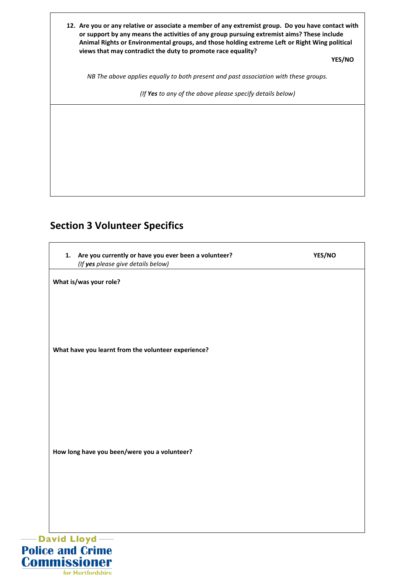| 12. Are you or any relative or associate a member of any extremist group. Do you have contact with<br>or support by any means the activities of any group pursuing extremist aims? These include<br>Animal Rights or Environmental groups, and those holding extreme Left or Right Wing political<br>views that may contradict the duty to promote race equality? | <b>YES/NO</b> |
|-------------------------------------------------------------------------------------------------------------------------------------------------------------------------------------------------------------------------------------------------------------------------------------------------------------------------------------------------------------------|---------------|
| NB The above applies equally to both present and past association with these groups.                                                                                                                                                                                                                                                                              |               |
| (If Yes to any of the above please specify details below)                                                                                                                                                                                                                                                                                                         |               |
|                                                                                                                                                                                                                                                                                                                                                                   |               |
|                                                                                                                                                                                                                                                                                                                                                                   |               |
|                                                                                                                                                                                                                                                                                                                                                                   |               |
|                                                                                                                                                                                                                                                                                                                                                                   |               |
|                                                                                                                                                                                                                                                                                                                                                                   |               |

## **Section 3 Volunteer Specifics**

 $\mathsf{l}$ 

| Are you currently or have you ever been a volunteer?<br>1.<br>(If yes please give details below) | YES/NO |
|--------------------------------------------------------------------------------------------------|--------|
| What is/was your role?                                                                           |        |
|                                                                                                  |        |
|                                                                                                  |        |
| What have you learnt from the volunteer experience?                                              |        |
|                                                                                                  |        |
|                                                                                                  |        |
|                                                                                                  |        |
|                                                                                                  |        |
| How long have you been/were you a volunteer?                                                     |        |
|                                                                                                  |        |
|                                                                                                  |        |
|                                                                                                  |        |

for Hertfordshire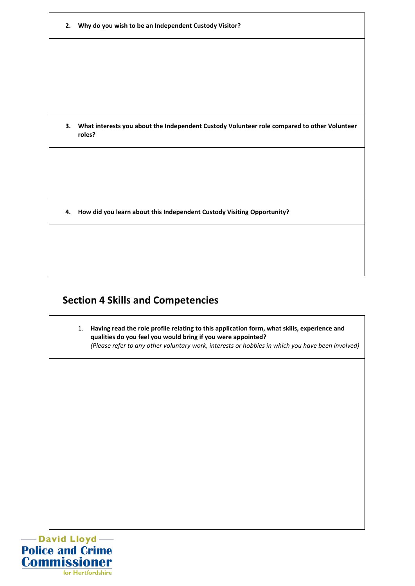| 2. | Why do you wish to be an Independent Custody Visitor?                                                 |
|----|-------------------------------------------------------------------------------------------------------|
|    |                                                                                                       |
|    |                                                                                                       |
|    |                                                                                                       |
|    |                                                                                                       |
| 3. | What interests you about the Independent Custody Volunteer role compared to other Volunteer<br>roles? |
|    |                                                                                                       |
|    |                                                                                                       |
|    |                                                                                                       |
| 4. | How did you learn about this Independent Custody Visiting Opportunity?                                |
|    |                                                                                                       |
|    |                                                                                                       |
|    |                                                                                                       |

## **Section 4 Skills and Competencies**

1. **Having read the role profile relating to this application form, what skills, experience and qualities do you feel you would bring if you were appointed?** *(Please refer to any other voluntary work, interests or hobbies in which you have been involved)*